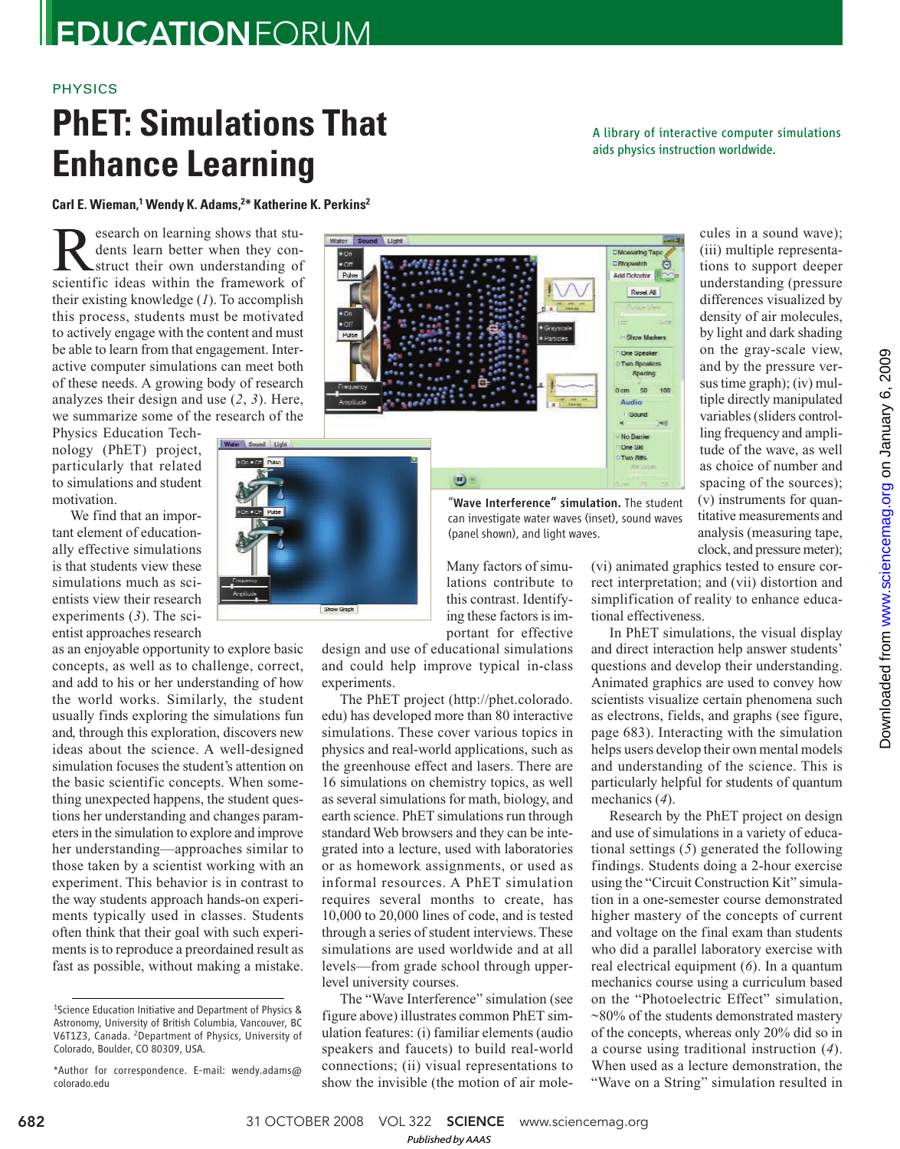## PHYSICS

# **PhET: Simulations That Enhance Learning**

A library of interactive computer simulations aids physics instruction worldwide.

## **Carl E. Wieman,<sup>1</sup> Wendy K. Adams,<sup>2</sup>\* Katherine K. Perkins<sup>2</sup>**

Research on learning shows that students learn better when they construct their own understanding of scientific ideas within the framework of esearch on learning shows that students learn better when they construct their own understanding of their existing knowledge (*1*). To accomplish this process, students must be motivated to actively engage with the content and must be able to learn from that engagement. Interactive computer simulations can meet both of these needs. A growing body of research analyzes their design and use (*2*, *3*). Here, we summarize some of the research of the

Physics Education Technology (PhET) project, particularly that related to simulations and student motivation.

We find that an important element of educationally effective simulations is that students view these simulations much as scientists view their research experiments (*3*). The scientist approaches research

as an enjoyable opportunity to explore basic concepts, as well as to challenge, correct, and add to his or her understanding of how the world works. Similarly, the student usually finds exploring the simulations fun and, through this exploration, discovers new ideas about the science. A well-designed simulation focuses the student's attention on the basic scientific concepts. When something unexpected happens, the student questions her understanding and changes parameters in the simulation to explore and improve her understanding—approaches similar to those taken by a scientist working with an experiment. This behavior is in contrast to the way students approach hands-on experiments typically used in classes. Students often think that their goal with such experiments is to reproduce a preordained result as fast as possible, without making a mistake.



Show Graph

"Wave Interference" simulation. The student can investigate water waves (inset), sound waves (panel shown), and light waves.

Many factors of simulations contribute to this contrast. Identifying these factors is important for effective

design and use of educational simulations and could help improve typical in-class experiments.

The PhET project (http://phet.colorado. edu) has developed more than 80 interactive simulations. These cover various topics in physics and real-world applications, such as the greenhouse effect and lasers. There are 16 simulations on chemistry topics, as well as several simulations for math, biology, and earth science. PhET simulations run through standard Web browsers and they can be integrated into a lecture, used with laboratories or as homework assignments, or used as informal resources. A PhET simulation requires several months to create, has 10,000 to 20,000 lines of code, and is tested through a series of student interviews. These simulations are used worldwide and at all levels—from grade school through upperlevel university courses.

The "Wave Interference" simulation (see figure above) illustrates common PhET simulation features: (i) familiar elements (audio speakers and faucets) to build real-world connections; (ii) visual representations to show the invisible (the motion of air mole-

cules in a sound wave); (iii) multiple representations to support deeper understanding (pressure differences visualized by density of air molecules, by light and dark shading on the gray-scale view, and by the pressure versus time graph); (iv) multiple directly manipulated variables (sliders controlling frequency and amplitude of the wave, as well as choice of number and spacing of the sources); (v) instruments for quantitative measurements and analysis (measuring tape, clock, and pressure meter);

(vi) animated graphics tested to ensure correct interpretation; and (vii) distortion and simplification of reality to enhance educational effectiveness.

In PhET simulations, the visual display and direct interaction help answer students' questions and develop their understanding. Animated graphics are used to convey how scientists visualize certain phenomena such as electrons, fields, and graphs (see figure, page 683). Interacting with the simulation helps users develop their own mental models and understanding of the science. This is particularly helpful for students of quantum mechanics (*4*).

Research by the PhET project on design and use of simulations in a variety of educational settings (*5*) generated the following findings. Students doing a 2-hour exercise using the "Circuit Construction Kit" simulation in a one-semester course demonstrated higher mastery of the concepts of current and voltage on the final exam than students who did a parallel laboratory exercise with real electrical equipment (*6*). In a quantum mechanics course using a curriculum based on the "Photoelectric Effect" simulation, ~80% of the students demonstrated mastery of the concepts, whereas only 20% did so in a course using traditional instruction (*4*). When used as a lecture demonstration, the "Wave on a String" simulation resulted in

<sup>1</sup>Science Education Initiative and Department of Physics & Astronomy, University of British Columbia, Vancouver, BC V6T1Z3, Canada. <sup>2</sup>Department of Physics, University of Colorado, Boulder, CO 80309, USA.

<sup>\*</sup>Author for correspondence. E-mail: wendy.adams@ colorado.edu